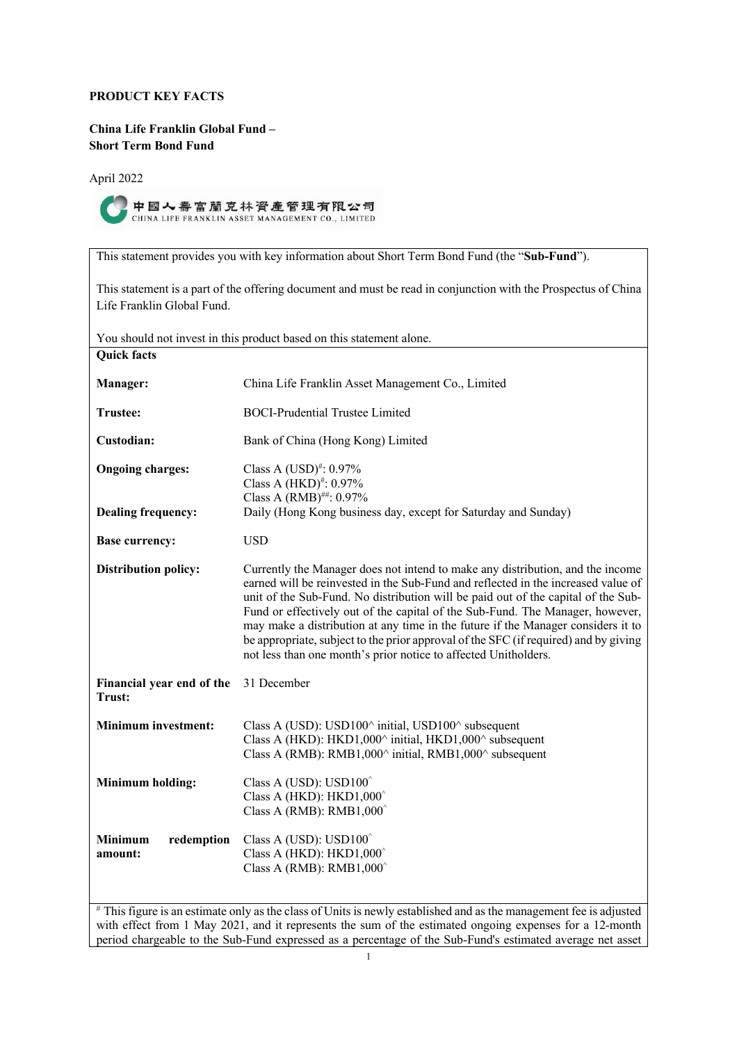# **PRODUCT KEY FACTS**

# **China Life Franklin Global Fund – Short Term Bond Fund**

April 2022



中國人壽富蘭克林資產管理有限公司 CHINA LIFE FRANKLIN ASSET MANAGEMENT CO., LIMITED

This statement provides you with key information about Short Term Bond Fund (the "**Sub-Fund**").

This statement is a part of the offering document and must be read in conjunction with the Prospectus of China Life Franklin Global Fund.

| You should not invest in this product based on this statement alone. |                                                                                                                                                                                                                                                                                                                                                                                                                                                                                                                                                                                          |  |
|----------------------------------------------------------------------|------------------------------------------------------------------------------------------------------------------------------------------------------------------------------------------------------------------------------------------------------------------------------------------------------------------------------------------------------------------------------------------------------------------------------------------------------------------------------------------------------------------------------------------------------------------------------------------|--|
| <b>Quick facts</b>                                                   |                                                                                                                                                                                                                                                                                                                                                                                                                                                                                                                                                                                          |  |
| Manager:                                                             | China Life Franklin Asset Management Co., Limited                                                                                                                                                                                                                                                                                                                                                                                                                                                                                                                                        |  |
| Trustee:                                                             | <b>BOCI-Prudential Trustee Limited</b>                                                                                                                                                                                                                                                                                                                                                                                                                                                                                                                                                   |  |
| Custodian:                                                           | Bank of China (Hong Kong) Limited                                                                                                                                                                                                                                                                                                                                                                                                                                                                                                                                                        |  |
| <b>Ongoing charges:</b>                                              | Class A $(USD)^{#}: 0.97%$<br>Class A $(HKD)^{\#}$ : 0.97%<br>Class A (RMB)##: 0.97%                                                                                                                                                                                                                                                                                                                                                                                                                                                                                                     |  |
| <b>Dealing frequency:</b>                                            | Daily (Hong Kong business day, except for Saturday and Sunday)                                                                                                                                                                                                                                                                                                                                                                                                                                                                                                                           |  |
| <b>Base currency:</b>                                                | <b>USD</b>                                                                                                                                                                                                                                                                                                                                                                                                                                                                                                                                                                               |  |
| <b>Distribution policy:</b>                                          | Currently the Manager does not intend to make any distribution, and the income<br>earned will be reinvested in the Sub-Fund and reflected in the increased value of<br>unit of the Sub-Fund. No distribution will be paid out of the capital of the Sub-<br>Fund or effectively out of the capital of the Sub-Fund. The Manager, however,<br>may make a distribution at any time in the future if the Manager considers it to<br>be appropriate, subject to the prior approval of the SFC (if required) and by giving<br>not less than one month's prior notice to affected Unitholders. |  |
| Financial year end of the<br>Trust:                                  | 31 December                                                                                                                                                                                                                                                                                                                                                                                                                                                                                                                                                                              |  |
| <b>Minimum investment:</b>                                           | Class A (USD): USD100^ initial, USD100^ subsequent<br>Class A (HKD): HKD1,000^ initial, HKD1,000^ subsequent<br>Class A (RMB): RMB1,000 $\land$ initial, RMB1,000 $\land$ subsequent                                                                                                                                                                                                                                                                                                                                                                                                     |  |
| <b>Minimum holding:</b>                                              | Class A (USD): USD100 <sup>^</sup><br>Class A (HKD): $HKD1,000^{\circ}$<br>Class A (RMB): RMB $1,000^{\circ}$                                                                                                                                                                                                                                                                                                                                                                                                                                                                            |  |
| <b>Minimum</b><br>redemption<br>amount:                              | Class A (USD): $USD100^{\circ}$<br>Class A (HKD): $HKD1,000^{\circ}$<br>Class A (RMB): RMB $1,000^{\circ}$                                                                                                                                                                                                                                                                                                                                                                                                                                                                               |  |

# This figure is an estimate only as the class of Units is newly established and as the management fee is adjusted with effect from 1 May 2021, and it represents the sum of the estimated ongoing expenses for a 12-month period chargeable to the Sub-Fund expressed as a percentage of the Sub-Fund's estimated average net asset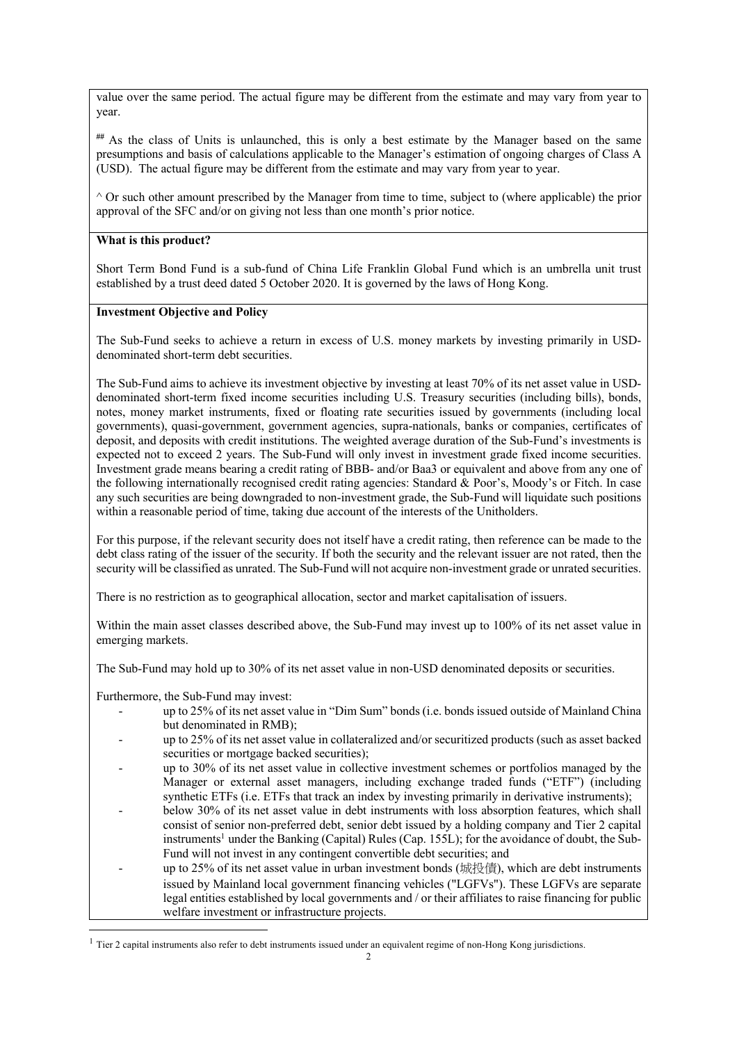value over the same period. The actual figure may be different from the estimate and may vary from year to year.

**##** As the class of Units is unlaunched, this is only a best estimate by the Manager based on the same presumptions and basis of calculations applicable to the Manager's estimation of ongoing charges of Class A (USD). The actual figure may be different from the estimate and may vary from year to year.

 $\wedge$  Or such other amount prescribed by the Manager from time to time, subject to (where applicable) the prior approval of the SFC and/or on giving not less than one month's prior notice.

#### **What is this product?**

Short Term Bond Fund is a sub-fund of China Life Franklin Global Fund which is an umbrella unit trust established by a trust deed dated 5 October 2020. It is governed by the laws of Hong Kong.

### **Investment Objective and Policy**

The Sub-Fund seeks to achieve a return in excess of U.S. money markets by investing primarily in USDdenominated short-term debt securities.

The Sub-Fund aims to achieve its investment objective by investing at least 70% of its net asset value in USDdenominated short-term fixed income securities including U.S. Treasury securities (including bills), bonds, notes, money market instruments, fixed or floating rate securities issued by governments (including local governments), quasi-government, government agencies, supra-nationals, banks or companies, certificates of deposit, and deposits with credit institutions. The weighted average duration of the Sub-Fund's investments is expected not to exceed 2 years. The Sub-Fund will only invest in investment grade fixed income securities. Investment grade means bearing a credit rating of BBB- and/or Baa3 or equivalent and above from any one of the following internationally recognised credit rating agencies: Standard & Poor's, Moody's or Fitch. In case any such securities are being downgraded to non-investment grade, the Sub-Fund will liquidate such positions within a reasonable period of time, taking due account of the interests of the Unitholders.

For this purpose, if the relevant security does not itself have a credit rating, then reference can be made to the debt class rating of the issuer of the security. If both the security and the relevant issuer are not rated, then the security will be classified as unrated. The Sub-Fund will not acquire non-investment grade or unrated securities.

There is no restriction as to geographical allocation, sector and market capitalisation of issuers.

Within the main asset classes described above, the Sub-Fund may invest up to 100% of its net asset value in emerging markets.

The Sub-Fund may hold up to 30% of its net asset value in non-USD denominated deposits or securities.

Furthermore, the Sub-Fund may invest:

- up to 25% of its net asset value in "Dim Sum" bonds (i.e. bonds issued outside of Mainland China but denominated in RMB);
- up to 25% of its net asset value in collateralized and/or securitized products (such as asset backed securities or mortgage backed securities);
- up to 30% of its net asset value in collective investment schemes or portfolios managed by the Manager or external asset managers, including exchange traded funds ("ETF") (including synthetic ETFs (i.e. ETFs that track an index by investing primarily in derivative instruments);
- below 30% of its net asset value in debt instruments with loss absorption features, which shall consist of senior non-preferred debt, senior debt issued by a holding company and Tier 2 capital instruments<sup>1</sup> under the Banking (Capital) Rules (Cap. 155L); for the avoidance of doubt, the Sub-Fund will not invest in any contingent convertible debt securities; and
- up to 25% of its net asset value in urban investment bonds (城投債), which are debt instruments issued by Mainland local government financing vehicles ("LGFVs"). These LGFVs are separate legal entities established by local governments and / or their affiliates to raise financing for public welfare investment or infrastructure projects.

 $1$  Tier 2 capital instruments also refer to debt instruments issued under an equivalent regime of non-Hong Kong jurisdictions.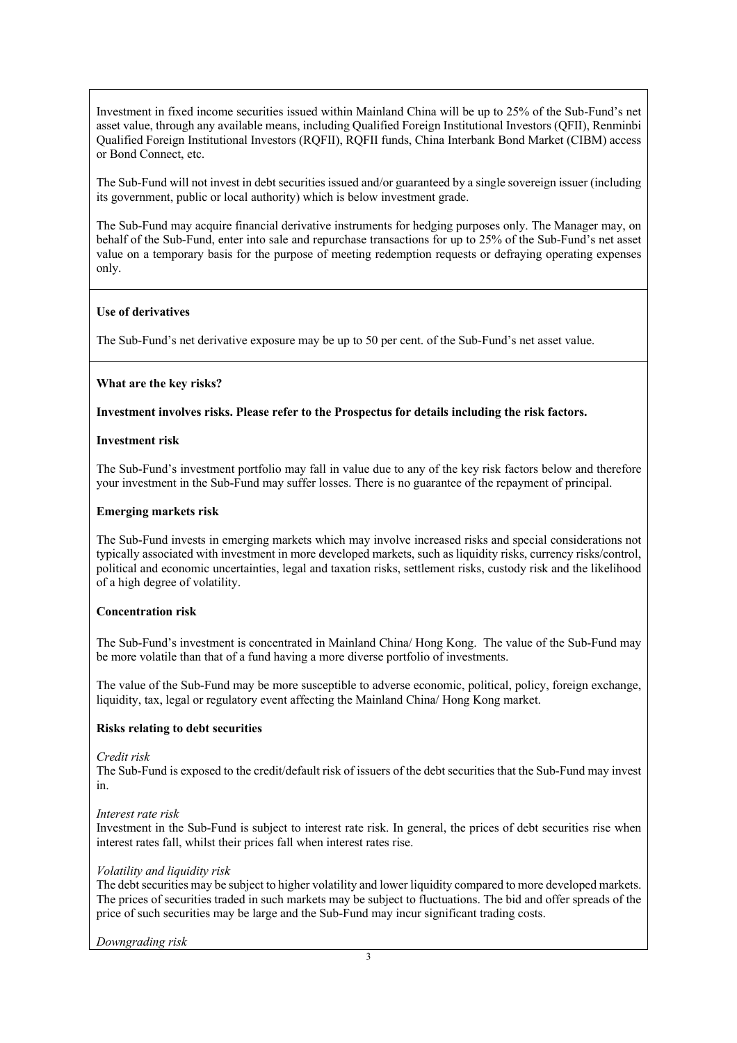Investment in fixed income securities issued within Mainland China will be up to 25% of the Sub-Fund's net asset value, through any available means, including Qualified Foreign Institutional Investors (QFII), Renminbi Qualified Foreign Institutional Investors (RQFII), RQFII funds, China Interbank Bond Market (CIBM) access or Bond Connect, etc.

The Sub-Fund will not invest in debt securities issued and/or guaranteed by a single sovereign issuer (including its government, public or local authority) which is below investment grade.

The Sub-Fund may acquire financial derivative instruments for hedging purposes only. The Manager may, on behalf of the Sub-Fund, enter into sale and repurchase transactions for up to 25% of the Sub-Fund's net asset value on a temporary basis for the purpose of meeting redemption requests or defraying operating expenses only.

# **Use of derivatives**

The Sub-Fund's net derivative exposure may be up to 50 per cent. of the Sub-Fund's net asset value.

# **What are the key risks?**

# **Investment involves risks. Please refer to the Prospectus for details including the risk factors.**

### **Investment risk**

The Sub-Fund's investment portfolio may fall in value due to any of the key risk factors below and therefore your investment in the Sub-Fund may suffer losses. There is no guarantee of the repayment of principal.

# **Emerging markets risk**

The Sub-Fund invests in emerging markets which may involve increased risks and special considerations not typically associated with investment in more developed markets, such as liquidity risks, currency risks/control, political and economic uncertainties, legal and taxation risks, settlement risks, custody risk and the likelihood of a high degree of volatility.

### **Concentration risk**

The Sub-Fund's investment is concentrated in Mainland China/ Hong Kong. The value of the Sub-Fund may be more volatile than that of a fund having a more diverse portfolio of investments.

The value of the Sub-Fund may be more susceptible to adverse economic, political, policy, foreign exchange, liquidity, tax, legal or regulatory event affecting the Mainland China/ Hong Kong market.

# **Risks relating to debt securities**

### *Credit risk*

The Sub-Fund is exposed to the credit/default risk of issuers of the debt securities that the Sub-Fund may invest in.

### *Interest rate risk*

Investment in the Sub-Fund is subject to interest rate risk. In general, the prices of debt securities rise when interest rates fall, whilst their prices fall when interest rates rise.

### *Volatility and liquidity risk*

The debt securities may be subject to higher volatility and lower liquidity compared to more developed markets. The prices of securities traded in such markets may be subject to fluctuations. The bid and offer spreads of the price of such securities may be large and the Sub-Fund may incur significant trading costs.

*Downgrading risk*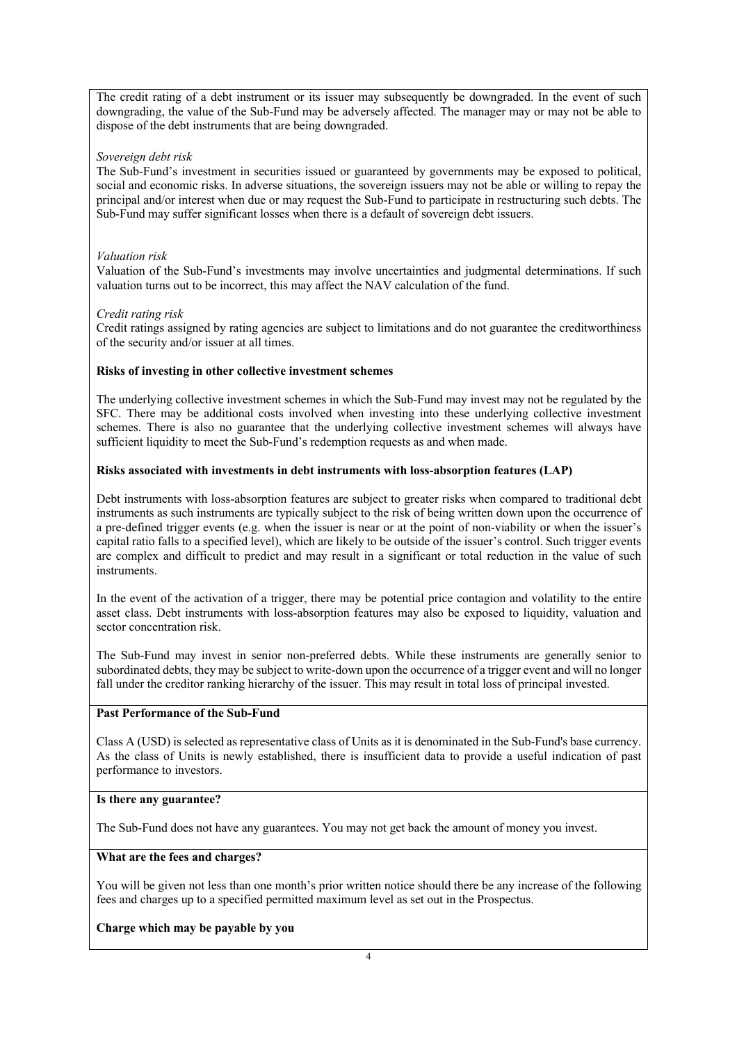The credit rating of a debt instrument or its issuer may subsequently be downgraded. In the event of such downgrading, the value of the Sub-Fund may be adversely affected. The manager may or may not be able to dispose of the debt instruments that are being downgraded.

### *Sovereign debt risk*

The Sub-Fund's investment in securities issued or guaranteed by governments may be exposed to political, social and economic risks. In adverse situations, the sovereign issuers may not be able or willing to repay the principal and/or interest when due or may request the Sub-Fund to participate in restructuring such debts. The Sub-Fund may suffer significant losses when there is a default of sovereign debt issuers.

# *Valuation risk*

Valuation of the Sub-Fund's investments may involve uncertainties and judgmental determinations. If such valuation turns out to be incorrect, this may affect the NAV calculation of the fund.

# *Credit rating risk*

Credit ratings assigned by rating agencies are subject to limitations and do not guarantee the creditworthiness of the security and/or issuer at all times.

# **Risks of investing in other collective investment schemes**

The underlying collective investment schemes in which the Sub-Fund may invest may not be regulated by the SFC. There may be additional costs involved when investing into these underlying collective investment schemes. There is also no guarantee that the underlying collective investment schemes will always have sufficient liquidity to meet the Sub-Fund's redemption requests as and when made.

# **Risks associated with investments in debt instruments with loss-absorption features (LAP)**

Debt instruments with loss-absorption features are subject to greater risks when compared to traditional debt instruments as such instruments are typically subject to the risk of being written down upon the occurrence of a pre-defined trigger events (e.g. when the issuer is near or at the point of non-viability or when the issuer's capital ratio falls to a specified level), which are likely to be outside of the issuer's control. Such trigger events are complex and difficult to predict and may result in a significant or total reduction in the value of such instruments.

In the event of the activation of a trigger, there may be potential price contagion and volatility to the entire asset class. Debt instruments with loss-absorption features may also be exposed to liquidity, valuation and sector concentration risk.

The Sub-Fund may invest in senior non-preferred debts. While these instruments are generally senior to subordinated debts, they may be subject to write-down upon the occurrence of a trigger event and will no longer fall under the creditor ranking hierarchy of the issuer. This may result in total loss of principal invested.

### **Past Performance of the Sub-Fund**

Class A (USD) is selected as representative class of Units as it is denominated in the Sub-Fund's base currency. As the class of Units is newly established, there is insufficient data to provide a useful indication of past performance to investors.

### **Is there any guarantee?**

The Sub-Fund does not have any guarantees. You may not get back the amount of money you invest.

### **What are the fees and charges?**

You will be given not less than one month's prior written notice should there be any increase of the following fees and charges up to a specified permitted maximum level as set out in the Prospectus.

# **Charge which may be payable by you**